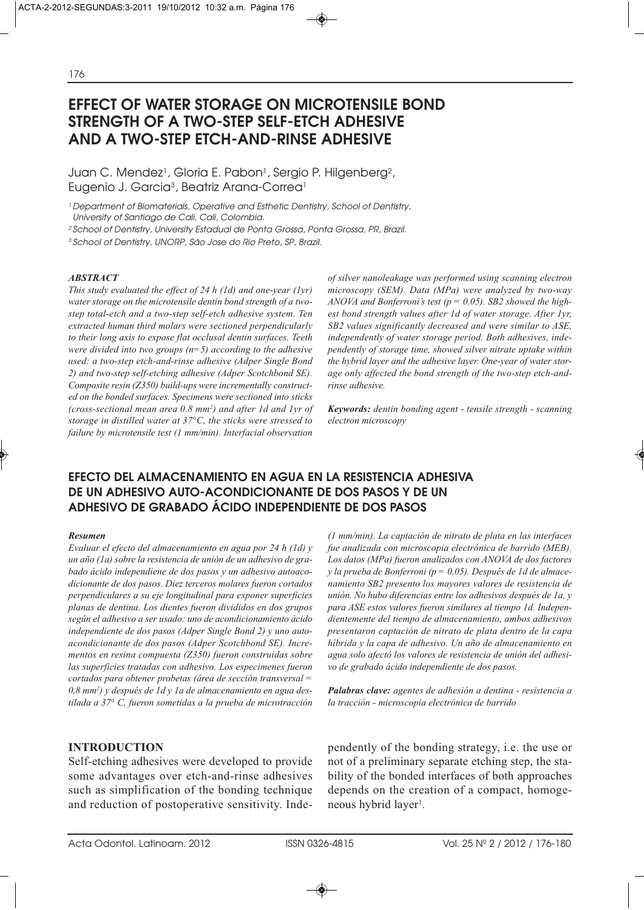# **EFFECT OF WATER STORAGE ON MICROTENSILE BOND STRENGTH OF A TWO-STEP SELF-ETCH ADHESIVE AND A TWO-STEP ETCH-AND-RINSE ADHESIVE**

Juan C. Mendez<sup>1</sup>, Gloria E. Pabon<sup>1</sup>, Sergio P. Hilgenberg<sup>2</sup>, Eugenio J. Garcia<sup>3</sup>, Beatriz Arana-Correa<sup>1</sup>

<sup>1</sup> Department of Biomaterials, Operative and Esthetic Dentistry, School of Dentistry, University of Santiago de Cali, Cali, Colombia.

<sup>2</sup> School of Dentistry, University Estadual de Ponta Grossa, Ponta Grossa, PR, Brazil.

3 School of Dentistry, UNORP, São Jose do Rio Preto, SP, Brazil.

### *ABSTRACT*

*This study evaluated the effect of 24 h (1d) and one-year (1yr) water storage on the microtensile dentin bond strength of a twostep total-etch and a two-step self-etch adhesive system. Ten extracted human third molars were sectioned perpendicularly to their long axis to expose flat occlusal dentin surfaces. Teeth were divided into two groups (n=5) according to the adhesive used: a two-step etch-and-rinse adhesive (Adper Single Bond 2) and two-step self-etching adhesive (Adper Scotchbond SE). Composite resin (Z350) build-ups were incrementally constructed on the bonded surfaces. Specimens were sectioned into sticks (cross-sectional mean area 0.8 mm2) and after 1d and 1yr of storage in distilled water at 37°C, the sticks were stressed to failure by microtensile test (1 mm/min). Interfacial observation*

*of silver nanoleakage was performed using scanning electron microscopy (SEM). Data (MPa) were analyzed by two-way ANOVA and Bonferroni's test (p = 0.05). SB2 showed the highest bond strength values after 1d of water storage. After 1yr, SB2 values significantly decreased and were similar to ASE, independently of water storage period. Both adhesives, independently of storage time, showed silver nitrate uptake within the hybrid layer and the adhesive layer. One-year of water storage only affected the bond strength of the two-step etch-andrinse adhesive.*

*Keywords: dentin bonding agent - tensile strength - scanning electron microscopy*

# **EFECTO DEL ALMACENAMIENTO EN AGUA EN LA RESISTENCIA ADHESIVA DE UN ADHESIVO AUTO-ACONDICIONANTE DE DOS PASOS Y DE UN ADHESIVO DE GRABADO ÁCIDO INDEPENDIENTE DE DOS PASOS**

#### *Resumen*

*Evaluar el efecto del almacenamiento en agua por 24 h (1d) y un año (1a) sobre la resistencia de unión de un adhesivo de grabado ácido independiene de dos pasos y un adhesivo autoacodicionante de dos pasos. Diez terceros molares fueron cortados perpendiculares a su eje longitudinal para exponer superficies planas de dentina. Los dientes fueron divididos en dos grupos según el adhesivo a ser usado: uno de acondicionamiento ácido independiente de dos pasos (Adper Single Bond 2) y uno autoacondicionante de dos pasos (Adper Scotchbond SE). Incrementos en resina compuesta (Z350) fueron construidas sobre las superficies tratadas con adhesivo. Los especimenes fueron cortados para obtener probetas (área de sección transversal = 0,8 mm2 ) y después de 1d y 1a de almacenamiento en agua destilada a 37° C, fueron sometidas a la prueba de microtracción*

# **INTRODUCTION**

Self-etching adhesives were developed to provide some advantages over etch-and-rinse adhesives such as simplification of the bonding technique and reduction of postoperative sensitivity. Inde*(1 mm/min). La captación de nitrato de plata en las interfaces fue analizada con microscopia electrónica de barrido (MEB). Los datos (MPa) fueron analizados con ANOVA de dos factores y la prueba de Bonferroni (p = 0,05). Después de 1d de almacenamiento SB2 presento los mayores valores de resistencia de unión. No hubo diferencias entre los adhesivos después de 1a, y para ASE estos valores fueron similares al tiempo 1d. Independientemente del tiempo de almacenamiento, ambos adhesivos presentaron captación de nitrato de plata dentro de la capa híbrida y la capa de adhesivo. Un año de almacenamiento en agua solo afectó los valores de resistencia de unión del adhesivo de grabado ácido independiente de dos pasos.* 

*Palabras clave: agentes de adhesión a dentina - resistencia a la tracción - microscopia electrónica de barrido*

pendently of the bonding strategy, i.e. the use or not of a preliminary separate etching step, the stability of the bonded interfaces of both approaches depends on the creation of a compact, homogeneous hybrid layer<sup>1</sup>.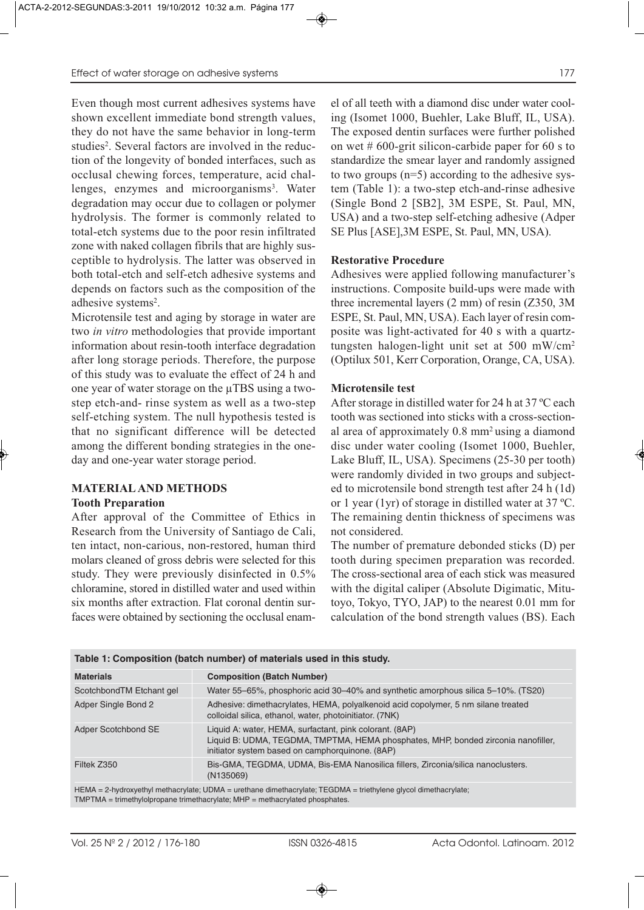Even though most current adhesives systems have shown excellent immediate bond strength values, they do not have the same behavior in long-term studies2. Several factors are involved in the reduction of the longevity of bonded interfaces, such as occlusal chewing forces, temperature, acid challenges, enzymes and microorganisms<sup>3</sup>. Water degradation may occur due to collagen or polymer hydrolysis. The former is commonly related to total-etch systems due to the poor resin infiltrated zone with naked collagen fibrils that are highly susceptible to hydrolysis. The latter was observed in both total-etch and self-etch adhesive systems and depends on factors such as the composition of the adhesive systems<sup>2</sup>.

Microtensile test and aging by storage in water are two *in vitro* methodologies that provide important information about resin-tooth interface degradation after long storage periods. Therefore, the purpose of this study was to evaluate the effect of 24 h and one year of water storage on the µTBS using a twostep etch-and- rinse system as well as a two-step self-etching system. The null hypothesis tested is that no significant difference will be detected among the different bonding strategies in the oneday and one-year water storage period.

# **MATERIAL AND METHODS**

### **Tooth Preparation**

After approval of the Committee of Ethics in Research from the University of Santiago de Cali, ten intact, non-carious, non-restored, human third molars cleaned of gross debris were selected for this study. They were previously disinfected in 0.5% chloramine, stored in distilled water and used within six months after extraction. Flat coronal dentin surfaces were obtained by sectioning the occlusal enamel of all teeth with a diamond disc under water cooling (Isomet 1000, Buehler, Lake Bluff, IL, USA). The exposed dentin surfaces were further polished on wet # 600-grit silicon-carbide paper for 60 s to standardize the smear layer and randomly assigned to two groups (n=5) according to the adhesive system (Table 1): a two-step etch-and-rinse adhesive (Single Bond 2 [SB2], 3M ESPE, St. Paul, MN, USA) and a two-step self-etching adhesive (Adper

# **Restorative Procedure**

Adhesives were applied following manufacturer's instructions. Composite build-ups were made with three incremental layers (2 mm) of resin (Z350, 3M ESPE, St. Paul, MN, USA). Each layer of resin composite was light-activated for 40 s with a quartztungsten halogen-light unit set at 500 mW/cm2 (Optilux 501, Kerr Corporation, Orange, CA, USA).

SE Plus [ASE],3M ESPE, St. Paul, MN, USA).

# **Microtensile test**

After storage in distilled water for 24 h at 37 ºC each tooth was sectioned into sticks with a cross-sectional area of approximately 0.8 mm2 using a diamond disc under water cooling (Isomet 1000, Buehler, Lake Bluff, IL, USA). Specimens (25-30 per tooth) were randomly divided in two groups and subjected to microtensile bond strength test after 24 h (1d) or 1 year (1yr) of storage in distilled water at 37 ºC. The remaining dentin thickness of specimens was not considered.

The number of premature debonded sticks (D) per tooth during specimen preparation was recorded. The cross-sectional area of each stick was measured with the digital caliper (Absolute Digimatic, Mitutoyo, Tokyo, TYO, JAP) to the nearest 0.01 mm for calculation of the bond strength values (BS). Each

| Table 1: Composition (batch number) of materials used in this study.                                                                                                                            |                                                                                                                                                                                                 |  |  |  |  |
|-------------------------------------------------------------------------------------------------------------------------------------------------------------------------------------------------|-------------------------------------------------------------------------------------------------------------------------------------------------------------------------------------------------|--|--|--|--|
| <b>Materials</b>                                                                                                                                                                                | <b>Composition (Batch Number)</b>                                                                                                                                                               |  |  |  |  |
| ScotchbondTM Etchant gel                                                                                                                                                                        | Water 55–65%, phosphoric acid 30–40% and synthetic amorphous silica 5–10%. (TS20)                                                                                                               |  |  |  |  |
| Adper Single Bond 2                                                                                                                                                                             | Adhesive: dimethacrylates, HEMA, polyalkenoid acid copolymer, 5 nm silane treated<br>colloidal silica, ethanol, water, photoinitiator. (7NK)                                                    |  |  |  |  |
| Adper Scotchbond SE                                                                                                                                                                             | Liquid A: water, HEMA, surfactant, pink colorant. (8AP)<br>Liquid B: UDMA, TEGDMA, TMPTMA, HEMA phosphates, MHP, bonded zirconia nanofiller,<br>initiator system based on camphorquinone. (8AP) |  |  |  |  |
| Filtek Z350                                                                                                                                                                                     | Bis-GMA, TEGDMA, UDMA, Bis-EMA Nanosilica fillers, Zirconia/silica nanoclusters.<br>(N135069)                                                                                                   |  |  |  |  |
| HEMA = 2-hydroxyethyl methacrylate; UDMA = urethane dimethacrylate; TEGDMA = triethylene glycol dimethacrylate;<br>$TMDTMA = trimathuloloronana trimathoquleta: MHD = mathoquulated phoophotoo$ |                                                                                                                                                                                                 |  |  |  |  |

TMPTMA = trimethylolpropane trimethacrylate; MHP = methacrylated phosphates.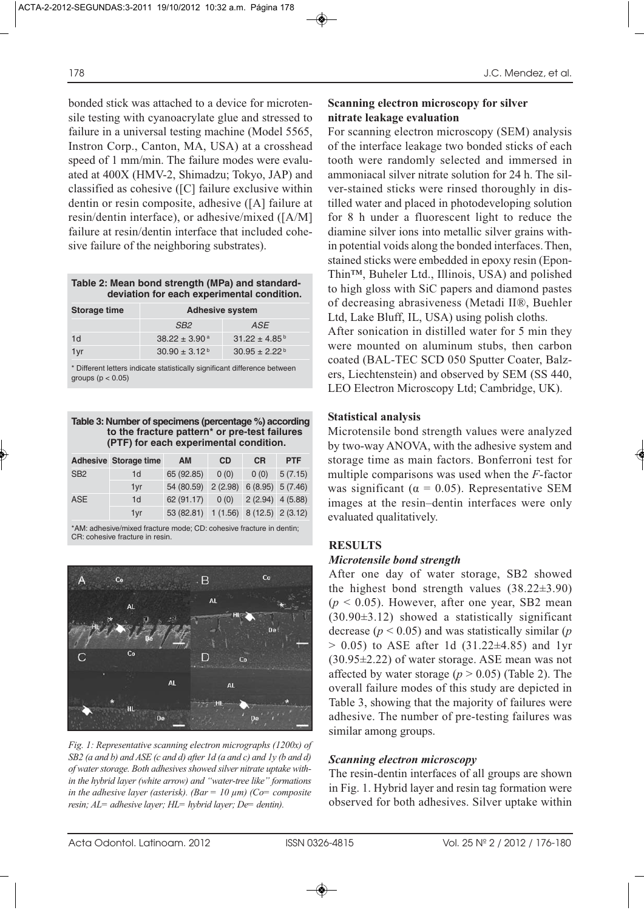bonded stick was attached to a device for microtensile testing with cyanoacrylate glue and stressed to failure in a universal testing machine (Model 5565, Instron Corp., Canton, MA, USA) at a crosshead speed of 1 mm/min. The failure modes were evaluated at 400X (HMV-2, Shimadzu; Tokyo, JAP) and classified as cohesive ([C] failure exclusive within dentin or resin composite, adhesive ([A] failure at resin/dentin interface), or adhesive/mixed ([A/M] failure at resin/dentin interface that included cohesive failure of the neighboring substrates).

| Table 2: Mean bond strength (MPa) and standard- |  |  |
|-------------------------------------------------|--|--|
| deviation for each experimental condition.      |  |  |

| Storage time | <b>Adhesive system</b>        |                             |  |  |  |
|--------------|-------------------------------|-----------------------------|--|--|--|
|              | SB <sub>2</sub>               | ASE                         |  |  |  |
| 1d           | $38.22 \pm 3.90$ <sup>a</sup> | $31.22 \pm 4.85^{\text{b}}$ |  |  |  |
| 1yr          | $30.90 \pm 3.12^{\text{b}}$   | $30.95 \pm 2.22^{\circ}$    |  |  |  |

\* Different letters indicate statistically significant difference between groups ( $p < 0.05$ )

### **Table 3: Number of specimens (percentage %) according to the fracture pattern\* or pre-test failures (PTF) for each experimental condition.**

|                 | <b>Adhesive Storage time</b> | AM                                    | <b>CD</b>               | <b>CR</b>          | <b>PTF</b> |
|-----------------|------------------------------|---------------------------------------|-------------------------|--------------------|------------|
| SB <sub>2</sub> | 1d                           | 65 (92.85)                            | 0(0)                    | 0(0)               | 5(7.15)    |
|                 | 1yr                          | 54 (80.59) 2 (2.98) 6 (8.95) 5 (7.46) |                         |                    |            |
| <b>ASE</b>      | 1 <sub>d</sub>               | 62 (91.17)                            | 0(0)                    | $2(2.94)$ 4 (5.88) |            |
|                 | 1yr                          | 53 (82.81)                            | 1(1.56) 8(12.5) 2(3.12) |                    |            |

\*AM: adhesive/mixed fracture mode; CD: cohesive fracture in dentin; CR: cohesive fracture in resin.



*Fig. 1: Representative scanning electron micrographs (1200x) of SB2 (a and b) and ASE (c and d) after 1d (a and c) and 1y (b and d) of water storage. Both adhesives showed silver nitrate uptake within the hybrid layer (white arrow) and "water-tree like" formations in the adhesive layer (asterisk). (Bar = 10 µm) (Co= composite resin; AL= adhesive layer; HL= hybrid layer; De= dentin).* 

# **Scanning electron microscopy for silver nitrate leakage evaluation**

For scanning electron microscopy (SEM) analysis of the interface leakage two bonded sticks of each tooth were randomly selected and immersed in ammoniacal silver nitrate solution for 24 h. The silver-stained sticks were rinsed thoroughly in distilled water and placed in photodeveloping solution for 8 h under a fluorescent light to reduce the diamine silver ions into metallic silver grains within potential voids along the bonded interfaces.Then, stained sticks were embedded in epoxy resin (Epon-Thin™, Buheler Ltd., Illinois, USA) and polished to high gloss with SiC papers and diamond pastes of decreasing abrasiveness (Metadi II®, Buehler Ltd, Lake Bluff, IL, USA) using polish cloths. After sonication in distilled water for 5 min they were mounted on aluminum stubs, then carbon coated (BAL-TEC SCD 050 Sputter Coater, Balzers, Liechtenstein) and observed by SEM (SS 440, LEO Electron Microscopy Ltd; Cambridge, UK).

# **Statistical analysis**

Microtensile bond strength values were analyzed by two-way ANOVA, with the adhesive system and storage time as main factors. Bonferroni test for multiple comparisons was used when the *F*-factor was significant ( $\alpha = 0.05$ ). Representative SEM images at the resin–dentin interfaces were only evaluated qualitatively.

# **RESULTS**

# *Microtensile bond strength*

After one day of water storage, SB2 showed the highest bond strength values  $(38.22\pm3.90)$  $(p < 0.05)$ . However, after one year, SB2 mean  $(30.90\pm3.12)$  showed a statistically significant decrease  $(p < 0.05)$  and was statistically similar  $(p<sub>0.05</sub>)$  $> 0.05$ ) to ASE after 1d (31.22 $\pm$ 4.85) and 1yr (30.95±2.22) of water storage. ASE mean was not affected by water storage ( $p > 0.05$ ) (Table 2). The overall failure modes of this study are depicted in Table 3, showing that the majority of failures were adhesive. The number of pre-testing failures was similar among groups.

# *Scanning electron microscopy*

The resin-dentin interfaces of all groups are shown in Fig. 1. Hybrid layer and resin tag formation were observed for both adhesives. Silver uptake within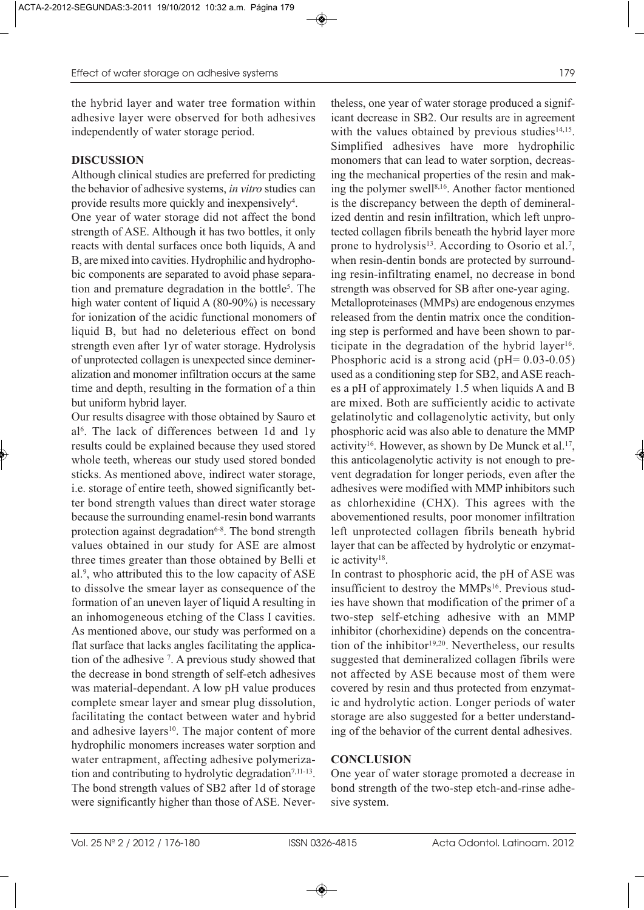the hybrid layer and water tree formation within adhesive layer were observed for both adhesives independently of water storage period.

# **DISCUSSION**

Although clinical studies are preferred for predicting the behavior of adhesive systems, *in vitro* studies can provide results more quickly and inexpensively<sup>4</sup>.

One year of water storage did not affect the bond strength of ASE. Although it has two bottles, it only reacts with dental surfaces once both liquids, A and B, are mixed into cavities. Hydrophilic and hydrophobic components are separated to avoid phase separation and premature degradation in the bottle<sup>5</sup>. The high water content of liquid A (80-90%) is necessary for ionization of the acidic functional monomers of liquid B, but had no deleterious effect on bond strength even after 1yr of water storage. Hydrolysis of unprotected collagen is unexpected since demineralization and monomer infiltration occurs at the same time and depth, resulting in the formation of a thin but uniform hybrid layer.

Our results disagree with those obtained by Sauro et al6. The lack of differences between 1d and 1y results could be explained because they used stored whole teeth, whereas our study used stored bonded sticks. As mentioned above, indirect water storage, i.e. storage of entire teeth, showed significantly better bond strength values than direct water storage because the surrounding enamel-resin bond warrants protection against degradation<sup>6-8</sup>. The bond strength values obtained in our study for ASE are almost three times greater than those obtained by Belli et al.9, who attributed this to the low capacity of ASE to dissolve the smear layer as consequence of the formation of an uneven layer of liquid A resulting in an inhomogeneous etching of the Class I cavities. As mentioned above, our study was performed on a flat surface that lacks angles facilitating the application of the adhesive 7 . A previous study showed that the decrease in bond strength of self-etch adhesives was material-dependant. A low pH value produces complete smear layer and smear plug dissolution, facilitating the contact between water and hybrid and adhesive layers<sup>10</sup>. The major content of more hydrophilic monomers increases water sorption and water entrapment, affecting adhesive polymerization and contributing to hydrolytic degradation<sup>7,11-13</sup>. The bond strength values of SB2 after 1d of storage were significantly higher than those of ASE. Nevertheless, one year of water storage produced a significant decrease in SB2. Our results are in agreement with the values obtained by previous studies $14,15$ . Simplified adhesives have more hydrophilic monomers that can lead to water sorption, decreasing the mechanical properties of the resin and making the polymer swell<sup>8,16</sup>. Another factor mentioned is the discrepancy between the depth of demineralized dentin and resin infiltration, which left unprotected collagen fibrils beneath the hybrid layer more prone to hydrolysis<sup>13</sup>. According to Osorio et al.<sup>7</sup>, when resin-dentin bonds are protected by surrounding resin-infiltrating enamel, no decrease in bond strength was observed for SB after one-year aging. Metalloproteinases (MMPs) are endogenous enzymes released from the dentin matrix once the conditioning step is performed and have been shown to participate in the degradation of the hybrid layer<sup>16</sup>. Phosphoric acid is a strong acid ( $pH = 0.03-0.05$ ) used as a conditioning step for SB2, and ASE reaches a pH of approximately 1.5 when liquids A and B are mixed. Both are sufficiently acidic to activate gelatinolytic and collagenolytic activity, but only phosphoric acid was also able to denature the MMP activity<sup>16</sup>. However, as shown by De Munck et al.<sup>17</sup>, this anticolagenolytic activity is not enough to prevent degradation for longer periods, even after the adhesives were modified with MMP inhibitors such as chlorhexidine (CHX). This agrees with the abovementioned results, poor monomer infiltration left unprotected collagen fibrils beneath hybrid layer that can be affected by hydrolytic or enzymatic activity18.

In contrast to phosphoric acid, the pH of ASE was insufficient to destroy the MMPs<sup>16</sup>. Previous studies have shown that modification of the primer of a two-step self-etching adhesive with an MMP inhibitor (chorhexidine) depends on the concentration of the inhibitor<sup>19,20</sup>. Nevertheless, our results suggested that demineralized collagen fibrils were not affected by ASE because most of them were covered by resin and thus protected from enzymatic and hydrolytic action. Longer periods of water storage are also suggested for a better understanding of the behavior of the current dental adhesives.

# **CONCLUSION**

One year of water storage promoted a decrease in bond strength of the two-step etch-and-rinse adhesive system.